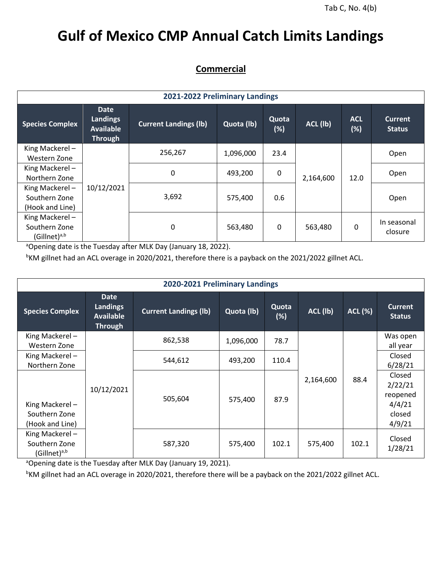## **Gulf of Mexico CMP Annual Catch Limits Landings**

## **Commercial**

| 2021-2022 Preliminary Landings                       |                                                        |                              |            |                 |           |                   |                                 |  |  |
|------------------------------------------------------|--------------------------------------------------------|------------------------------|------------|-----------------|-----------|-------------------|---------------------------------|--|--|
| <b>Species Complex</b>                               | <b>Date</b><br>Landings<br><b>Available</b><br>Through | <b>Current Landings (lb)</b> | Quota (lb) | Quota<br>$(\%)$ | ACL (lb)  | <b>ACL</b><br>(%) | <b>Current</b><br><b>Status</b> |  |  |
| King Mackerel-<br>Western Zone                       |                                                        | 256,267                      | 1,096,000  | 23.4            |           | 12.0              | Open                            |  |  |
| King Mackerel-<br>Northern Zone                      |                                                        | $\mathbf 0$                  | 493,200    | 0               | 2,164,600 |                   | Open                            |  |  |
| King Mackerel-<br>Southern Zone<br>(Hook and Line)   | 10/12/2021                                             | 3,692                        | 575,400    | 0.6             |           |                   | Open                            |  |  |
| King Mackerel-<br>Southern Zone<br>$(Gillnet)^{a,b}$ |                                                        | 0                            | 563,480    | 0               | 563,480   | 0                 | In seasonal<br>closure          |  |  |

 $\overline{a}$ Opening date is the Tuesday after MLK Day (January 18, 2022).

bKM gillnet had an ACL overage in 2020/2021, therefore there is a payback on the 2021/2022 gillnet ACL.

| 2020-2021 Preliminary Landings                       |                                                                      |                              |            |              |           |                |                                                             |  |  |  |
|------------------------------------------------------|----------------------------------------------------------------------|------------------------------|------------|--------------|-----------|----------------|-------------------------------------------------------------|--|--|--|
| <b>Species Complex</b>                               | <b>Date</b><br><b>Landings</b><br><b>Available</b><br><b>Through</b> | <b>Current Landings (lb)</b> | Quota (lb) | Quota<br>(%) | ACL (lb)  | <b>ACL (%)</b> | <b>Current</b><br><b>Status</b>                             |  |  |  |
| King Mackerel-<br>Western Zone                       | 10/12/2021                                                           | 862,538                      | 1,096,000  | 78.7         |           |                | Was open<br>all year<br>Closed<br>6/28/21                   |  |  |  |
| King Mackerel-<br>Northern Zone                      |                                                                      | 544,612                      | 493,200    | 110.4        |           |                |                                                             |  |  |  |
| King Mackerel-<br>Southern Zone<br>(Hook and Line)   |                                                                      | 505,604                      | 575,400    | 87.9         | 2,164,600 | 88.4           | Closed<br>2/22/21<br>reopened<br>4/4/21<br>closed<br>4/9/21 |  |  |  |
| King Mackerel-<br>Southern Zone<br>$(Gillnet)^{a,b}$ |                                                                      | 587,320                      | 575,400    | 102.1        | 575,400   | 102.1          | Closed<br>1/28/21                                           |  |  |  |

aOpening date is the Tuesday after MLK Day (January 19, 2021).

<sup>b</sup>KM gillnet had an ACL overage in 2020/2021, therefore there will be a payback on the 2021/2022 gillnet ACL.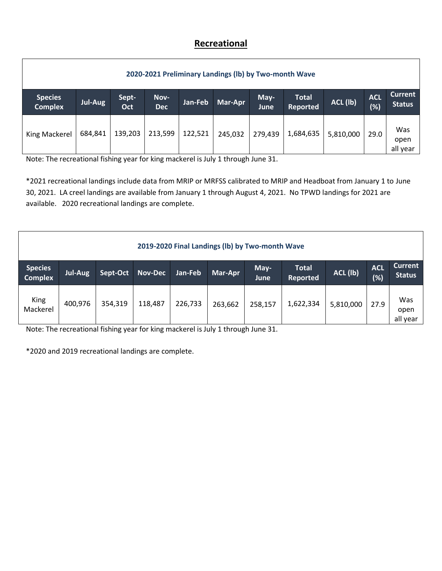## **Recreational**

| 2020-2021 Preliminary Landings (Ib) by Two-month Wave |         |              |                    |         |         |              |                          |           |                      |                                 |
|-------------------------------------------------------|---------|--------------|--------------------|---------|---------|--------------|--------------------------|-----------|----------------------|---------------------------------|
| <b>Species</b><br><b>Complex</b>                      | Jul-Aug | Sept-<br>Oct | Nov-<br><b>Dec</b> | Jan-Feb | Mar-Apr | May-<br>June | <b>Total</b><br>Reported | ACL (lb)  | <b>ACL</b><br>$(\%)$ | <b>Current</b><br><b>Status</b> |
| King Mackerel                                         | 684,841 | 139,203      | 213,599            | 122,521 | 245,032 | 279,439      | 1,684,635                | 5,810,000 | 29.0                 | Was<br>open<br>all year         |

Note: The recreational fishing year for king mackerel is July 1 through June 31.

\*2021 recreational landings include data from MRIP or MRFSS calibrated to MRIP and Headboat from January 1 to June 30, 2021. LA creel landings are available from January 1 through August 4, 2021. No TPWD landings for 2021 are available. 2020 recreational landings are complete.

| 2019-2020 Final Landings (Ib) by Two-month Wave |         |          |                |         |         |              |                          |           |                   |                                 |
|-------------------------------------------------|---------|----------|----------------|---------|---------|--------------|--------------------------|-----------|-------------------|---------------------------------|
| <b>Species</b><br><b>Complex</b>                | Jul-Aug | Sept-Oct | <b>Nov-Dec</b> | Jan-Feb | Mar-Apr | May-<br>June | <b>Total</b><br>Reported | ACL (lb)  | <b>ACL</b><br>(%) | <b>Current</b><br><b>Status</b> |
| King<br>Mackerel                                | 400,976 | 354,319  | 118,487        | 226,733 | 263,662 | 258,157      | 1,622,334                | 5,810,000 | 27.9              | Was<br>open<br>all year         |

Note: The recreational fishing year for king mackerel is July 1 through June 31.

\*2020 and 2019 recreational landings are complete.